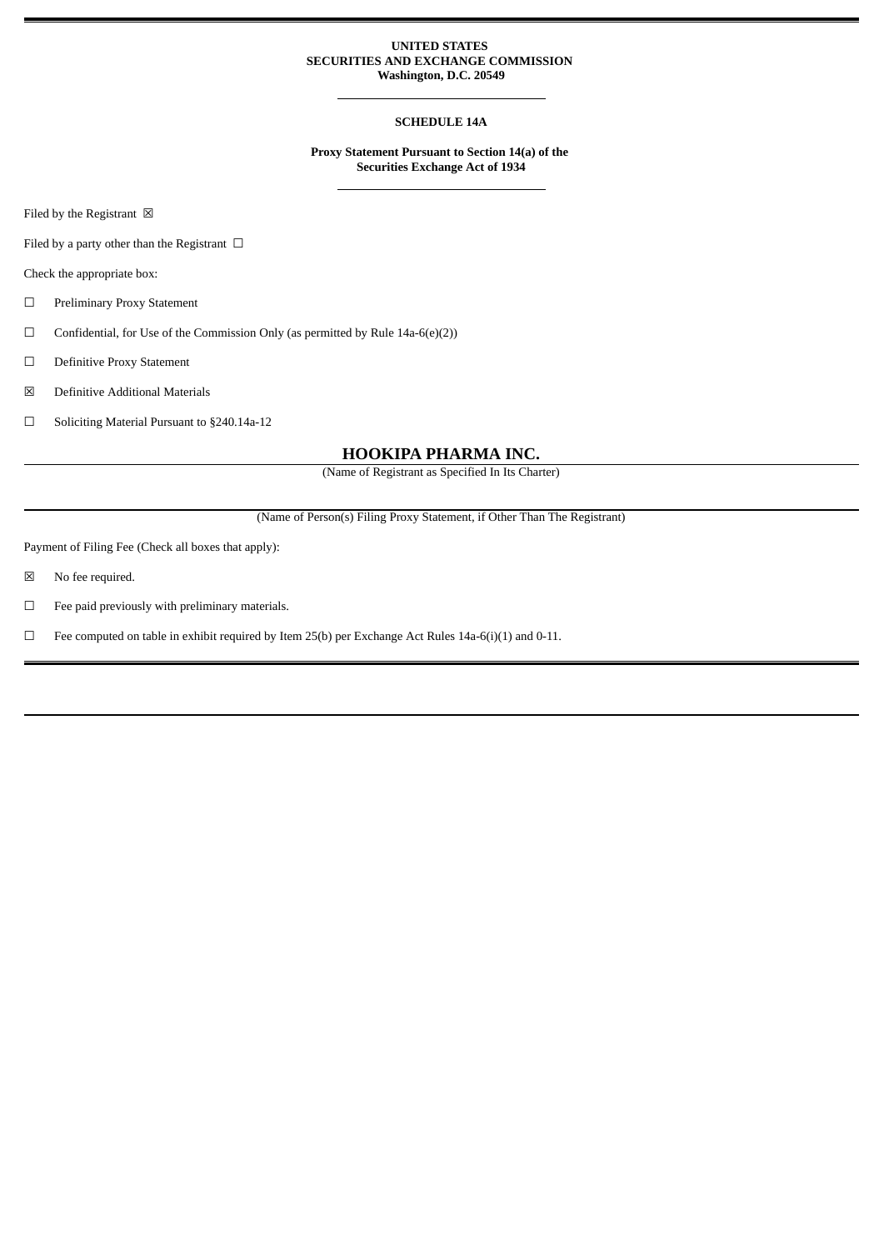#### **UNITED STATES SECURITIES AND EXCHANGE COMMISSION Washington, D.C. 20549**

### **SCHEDULE 14A**

**Proxy Statement Pursuant to Section 14(a) of the Securities Exchange Act of 1934**

Filed by the Registrant  $\ \boxtimes$ 

Filed by a party other than the Registrant  $\ \Box$ 

Check the appropriate box:

- ☐ Preliminary Proxy Statement
- $\Box$  Confidential, for Use of the Commission Only (as permitted by Rule 14a-6(e)(2))
- ☐ Definitive Proxy Statement
- ☒ Definitive Additional Materials
- ☐ Soliciting Material Pursuant to §240.14a-12

#### **HOOKIPA PHARMA INC.**

(Name of Registrant as Specified In Its Charter)

(Name of Person(s) Filing Proxy Statement, if Other Than The Registrant)

Payment of Filing Fee (Check all boxes that apply):

- ☒ No fee required.
- $\qquad \Box$  <br>Fee paid previously with preliminary materials.
- ☐ Fee computed on table in exhibit required by Item 25(b) per Exchange Act Rules 14a-6(i)(1) and 0-11.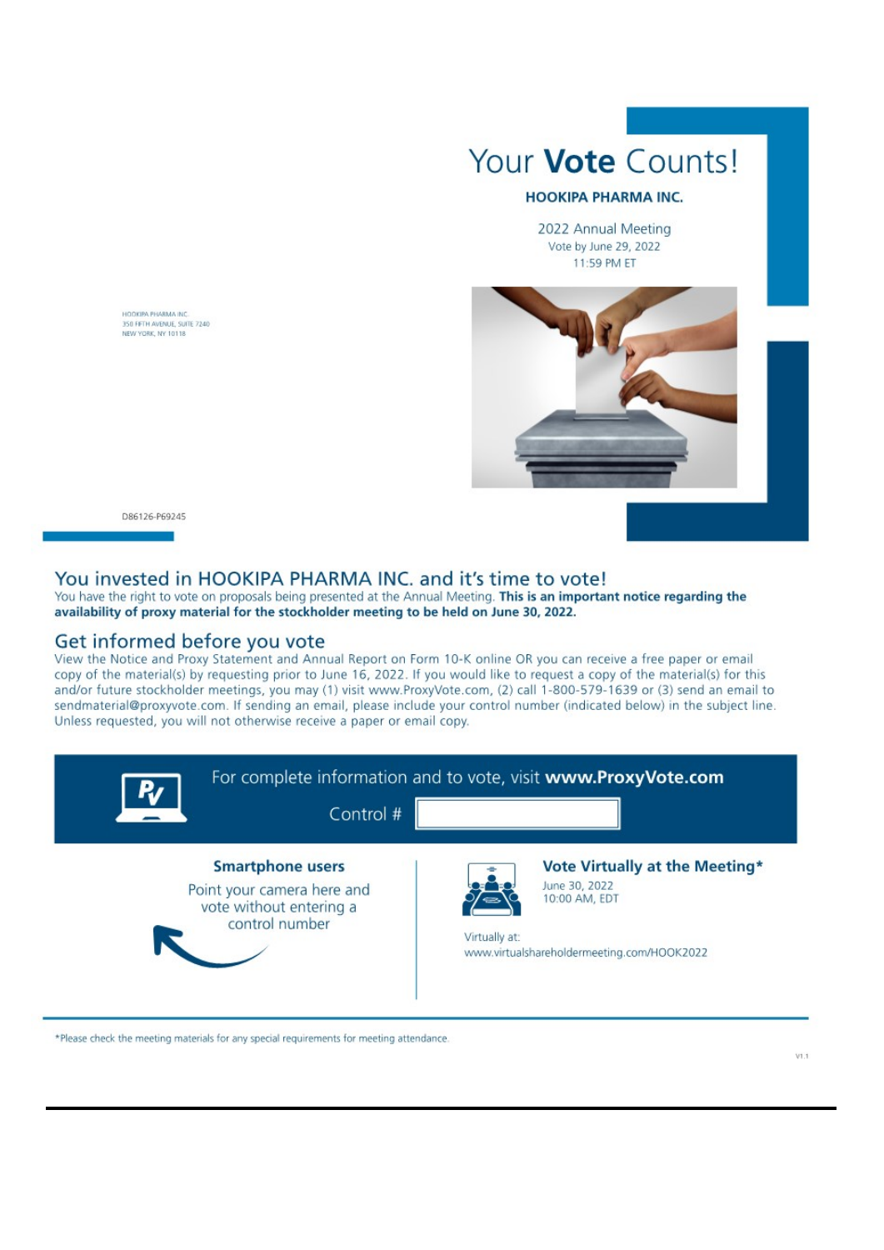

## **HOOKIPA PHARMA INC.**

2022 Annual Meeting Vote by June 29, 2022 11:59 PM ET



D86126-P69245

HOOKIPA PHARMA INC 350 FIFTH AVENUE, SUITE 7240

## You invested in HOOKIPA PHARMA INC. and it's time to vote!

You have the right to vote on proposals being presented at the Annual Meeting. This is an important notice regarding the availability of proxy material for the stockholder meeting to be held on June 30, 2022.

# Get informed before you vote

View the Notice and Proxy Statement and Annual Report on Form 10-K online OR you can receive a free paper or email copy of the material(s) by requesting prior to June 16, 2022. If you would like to request a copy of the material(s) for this and/or future stockholder meetings, you may (1) visit www.ProxyVote.com, (2) call 1-800-579-1639 or (3) send an email to sendmaterial@proxyvote.com. If sending an email, please include your control number (indicated below) in the subject line. Unless requested, you will not otherwise receive a paper or email copy.



\*Please check the meeting materials for any special requirements for meeting attendance.